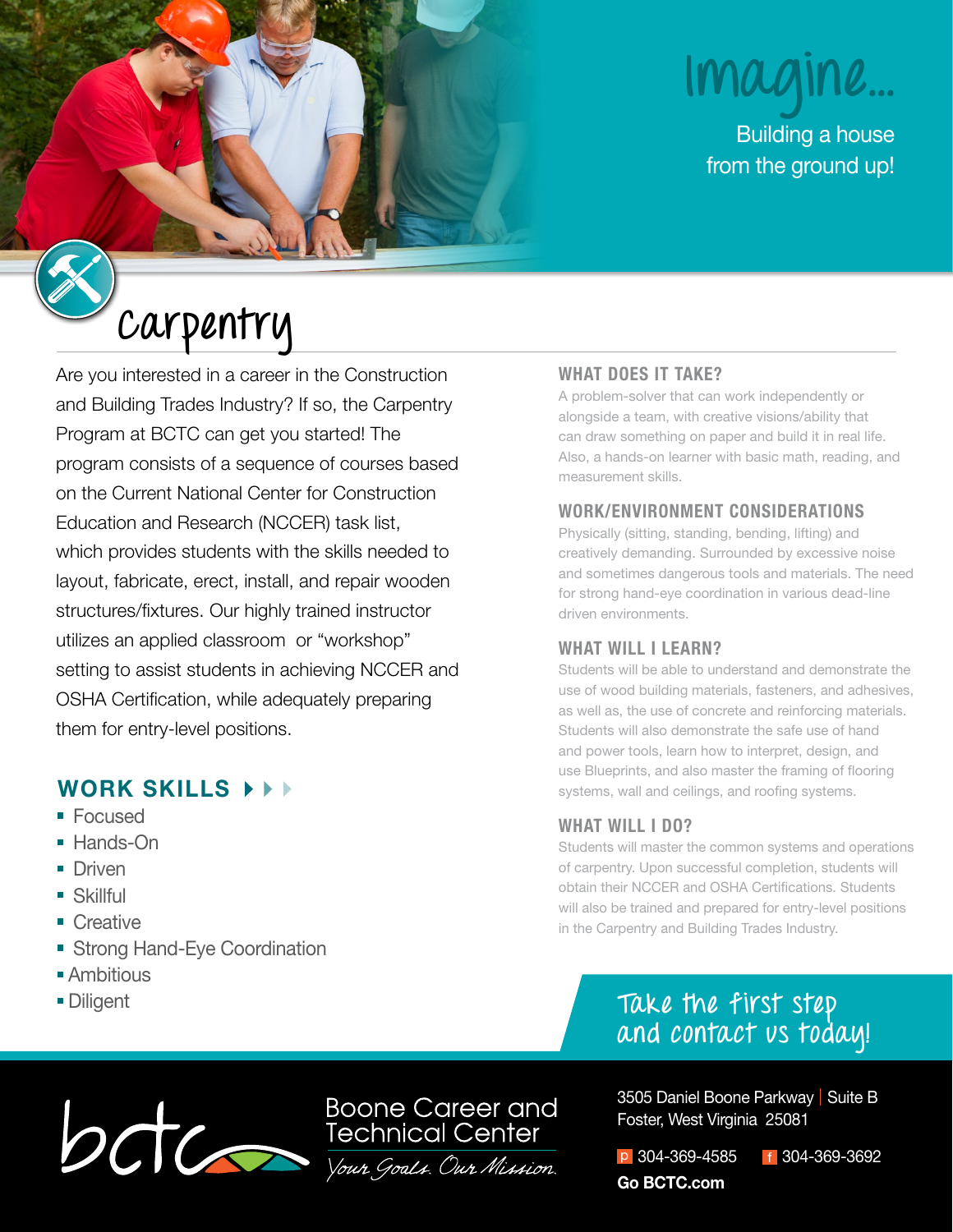# **Imagine...**

Building a house from the ground up!

# **Carpentry**

Are you interested in a career in the Construction and Building Trades Industry? If so, the Carpentry Program at BCTC can get you started! The program consists of a sequence of courses based on the Current National Center for Construction Education and Research (NCCER) task list, which provides students with the skills needed to layout, fabricate, erect, install, and repair wooden structures/fixtures. Our highly trained instructor utilizes an applied classroom or "workshop" setting to assist students in achieving NCCER and OSHA Certification, while adequately preparing them for entry-level positions.

### **WORK SKILLS**

- Focused
- Hands-On
- **Driven**
- Skillful
- Creative
- **Strong Hand-Eye Coordination**
- **Ambitious**
- **Diligent**

#### **WHAT DOES IT TAKE?**

A problem-solver that can work independently or alongside a team, with creative visions/ability that can draw something on paper and build it in real life. Also, a hands-on learner with basic math, reading, and measurement skills.

#### **WORK/ENVIRONMENT CONSIDERATIONS**

Physically (sitting, standing, bending, lifting) and creatively demanding. Surrounded by excessive noise and sometimes dangerous tools and materials. The need for strong hand-eye coordination in various dead-line driven environments.

#### **WHAT WILL I LEARN?**

Students will be able to understand and demonstrate the use of wood building materials, fasteners, and adhesives, as well as, the use of concrete and reinforcing materials. Students will also demonstrate the safe use of hand and power tools, learn how to interpret, design, and use Blueprints, and also master the framing of flooring systems, wall and ceilings, and roofing systems.

#### **WHAT WILL I DO?**

Students will master the common systems and operations of carpentry. Upon successful completion, students will obtain their NCCER and OSHA Certifications. Students will also be trained and prepared for entry-level positions in the Carpentry and Building Trades Industry.

## **Take the first step and contact us today!**

Boone Career and<br>Technical Center<br>Vous Goals. Our Mission.

3505 Daniel Boone Parkway | Suite B Foster, West Virginia 25081

p 304-369-4585 f 304-369-3692 **Go BCTC.com**